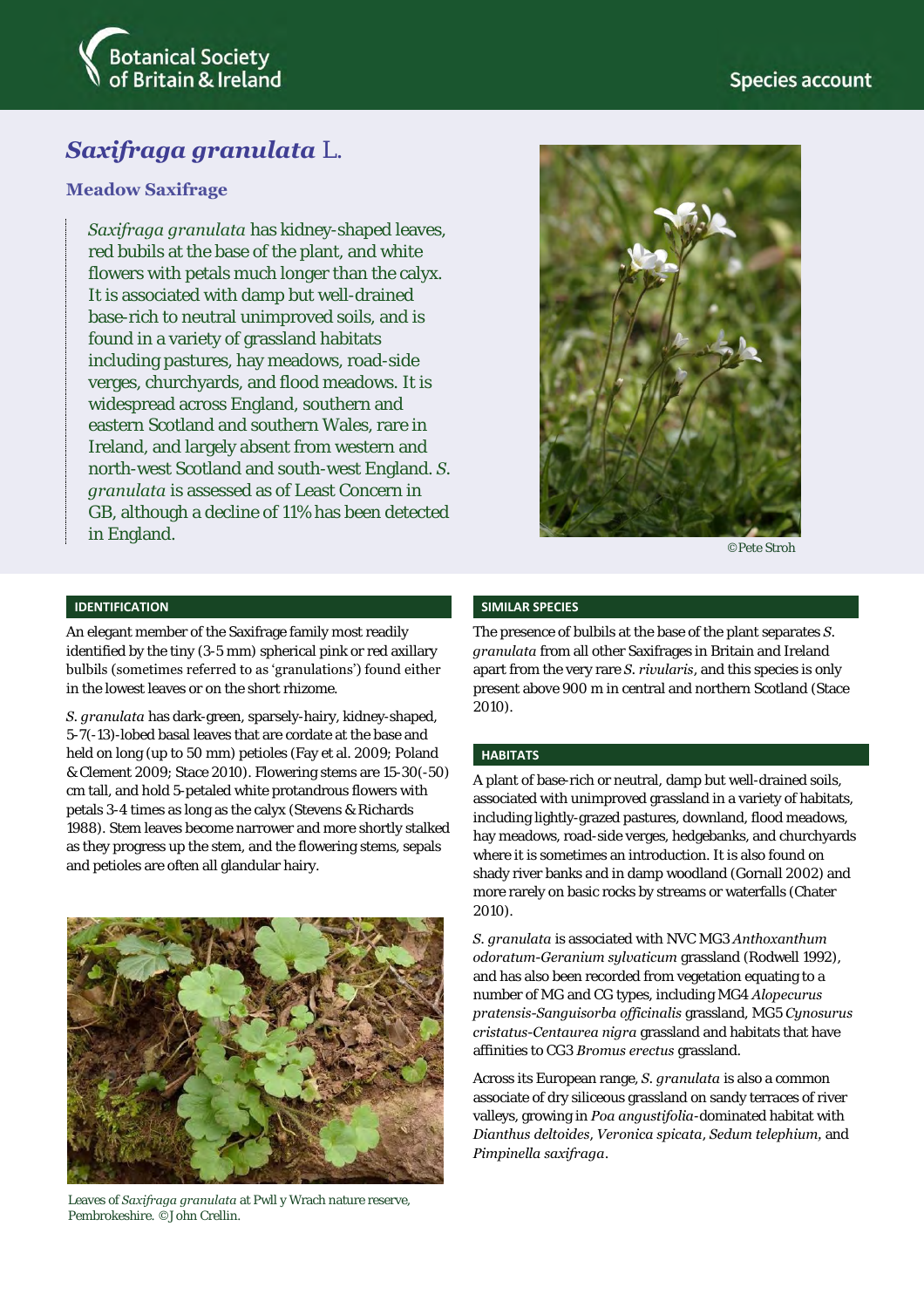

# *Saxifraga granulata* L.

## **Meadow Saxifrage**

*Saxifraga granulata* has kidney-shaped leaves, red bubils at the base of the plant, and white flowers with petals much longer than the calyx. It is associated with damp but well-drained base-rich to neutral unimproved soils, and is found in a variety of grassland habitats including pastures, hay meadows, road-side verges, churchyards, and flood meadows. It is widespread across England, southern and eastern Scotland and southern Wales, rare in Ireland, and largely absent from western and north-west Scotland and south-west England. *S. granulata* is assessed as of Least Concern in GB, although a decline of 11% has been detected in England.



©Pete Stroh

#### **IDENTIFICATION**

An elegant member of the Saxifrage family most readily identified by the tiny (3-5 mm) spherical pink or red axillary bulbils (sometimes referred to as 'granulations') found either in the lowest leaves or on the short rhizome.

*S. granulata* has dark-green, sparsely-hairy, kidney-shaped, 5-7(-13)-lobed basal leaves that are cordate at the base and held on long (up to 50 mm) petioles (Fay et al. 2009; Poland & Clement 2009; Stace 2010). Flowering stems are 15-30(-50) cm tall, and hold 5-petaled white protandrous flowers with petals 3-4 times as long as the calyx (Stevens & Richards 1988). Stem leaves become narrower and more shortly stalked as they progress up the stem, and the flowering stems, sepals and petioles are often all glandular hairy.



Leaves of *Saxifraga granulata* at Pwll y Wrach nature reserve, Pembrokeshire. ©John Crellin.

### **SIMILAR SPECIES**

The presence of bulbils at the base of the plant separates *S. granulata* from all other Saxifrages in Britain and Ireland apart from the very rare *S. rivularis*, and this species is only present above 900 m in central and northern Scotland (Stace 2010).

#### **HABITATS**

A plant of base-rich or neutral, damp but well-drained soils, associated with unimproved grassland in a variety of habitats, including lightly-grazed pastures, downland, flood meadows, hay meadows, road-side verges, hedgebanks, and churchyards where it is sometimes an introduction. It is also found on shady river banks and in damp woodland (Gornall 2002) and more rarely on basic rocks by streams or waterfalls (Chater 2010).

*S. granulata* is associated with NVC MG3 *Anthoxanthum odoratum-Geranium sylvaticum* grassland (Rodwell 1992), and has also been recorded from vegetation equating to a number of MG and CG types, including MG4 *Alopecurus pratensis-Sanguisorba officinalis* grassland, MG5 *Cynosurus cristatus-Centaurea nigra* grassland and habitats that have affinities to CG3 *Bromus erectus* grassland.

Across its European range, *S. granulata* is also a common associate of dry siliceous grassland on sandy terraces of river valleys, growing in *Poa angustifolia*-dominated habitat with *Dianthus deltoides*, *Veronica spicata*, *Sedum telephium,* and *Pimpinella saxifraga*.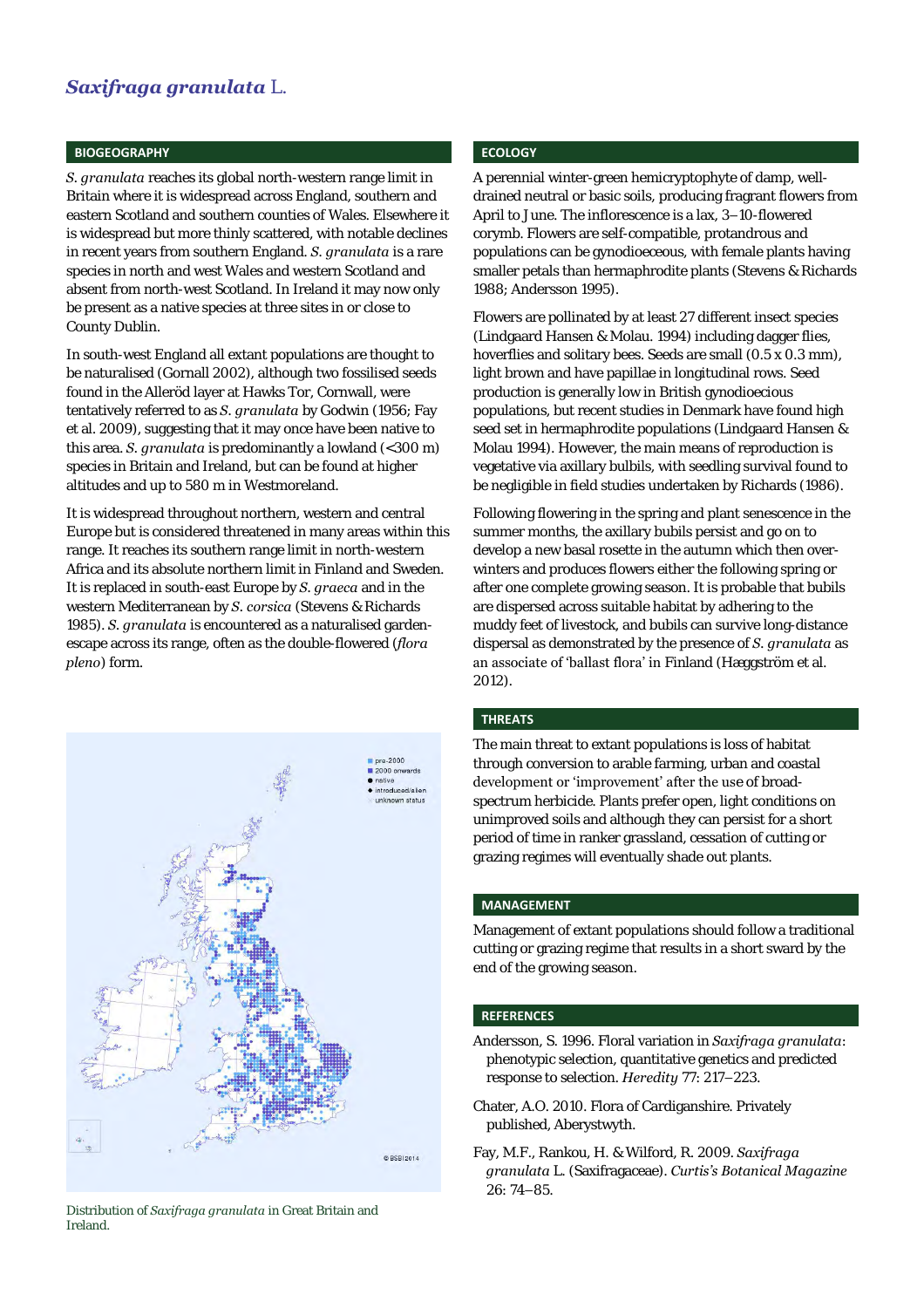## *Saxifraga granulata* L.

#### **BIOGEOGRAPHY**

*S. granulata* reaches its global north-western range limit in Britain where it is widespread across England, southern and eastern Scotland and southern counties of Wales. Elsewhere it is widespread but more thinly scattered, with notable declines in recent years from southern England. *S. granulata* is a rare species in north and west Wales and western Scotland and absent from north-west Scotland. In Ireland it may now only be present as a native species at three sites in or close to County Dublin.

In south-west England all extant populations are thought to be naturalised (Gornall 2002), although two fossilised seeds found in the Alleröd layer at Hawks Tor, Cornwall, were tentatively referred to as *S. granulata* by Godwin (1956; Fay et al. 2009), suggesting that it may once have been native to this area. *S. granulata* is predominantly a lowland (<300 m) species in Britain and Ireland, but can be found at higher altitudes and up to 580 m in Westmoreland.

It is widespread throughout northern, western and central Europe but is considered threatened in many areas within this range. It reaches its southern range limit in north-western Africa and its absolute northern limit in Finland and Sweden. It is replaced in south-east Europe by *S. graeca* and in the western Mediterranean by *S. corsica* (Stevens & Richards 1985). *S. granulata* is encountered as a naturalised gardenescape across its range, often as the double-flowered (*flora pleno*) form.



Distribution of *Saxifraga granulata* in Great Britain and Ireland.

## **ECOLOGY**

A perennial winter-green hemicryptophyte of damp, welldrained neutral or basic soils, producing fragrant flowers from April to June. The inflorescence is a lax, 3–10-flowered corymb. Flowers are self-compatible, protandrous and populations can be gynodioeceous, with female plants having smaller petals than hermaphrodite plants (Stevens & Richards 1988; Andersson 1995).

Flowers are pollinated by at least 27 different insect species (Lindgaard Hansen & Molau. 1994) including dagger flies, hoverflies and solitary bees. Seeds are small (0.5 x 0.3 mm), light brown and have papillae in longitudinal rows. Seed production is generally low in British gynodioecious populations, but recent studies in Denmark have found high seed set in hermaphrodite populations (Lindgaard Hansen & Molau 1994). However, the main means of reproduction is vegetative via axillary bulbils, with seedling survival found to be negligible in field studies undertaken by Richards (1986).

Following flowering in the spring and plant senescence in the summer months, the axillary bubils persist and go on to develop a new basal rosette in the autumn which then overwinters and produces flowers either the following spring or after one complete growing season. It is probable that bubils are dispersed across suitable habitat by adhering to the muddy feet of livestock, and bubils can survive long-distance dispersal as demonstrated by the presence of *S. granulata* as an associate of 'ballast flora' in Finland (Hæggström et al. 2012).

#### **THREATS**

The main threat to extant populations is loss of habitat through conversion to arable farming, urban and coastal development or 'improvement' after the use of broadspectrum herbicide. Plants prefer open, light conditions on unimproved soils and although they can persist for a short period of time in ranker grassland, cessation of cutting or grazing regimes will eventually shade out plants.

#### **MANAGEMENT**

Management of extant populations should follow a traditional cutting or grazing regime that results in a short sward by the end of the growing season.

#### **REFERENCES**

- Andersson, S. 1996. Floral variation in *Saxifraga granulata*: phenotypic selection, quantitative genetics and predicted response to selection. *Heredity* 77: 217–223.
- Chater, A.O. 2010. Flora of Cardiganshire. Privately published, Aberystwyth.
- Fay, M.F., Rankou, H. & Wilford, R. 2009. *Saxifraga granulata* L. (Saxifragaceae). *Curtis's Botanical Magazine* 26: 74–85.